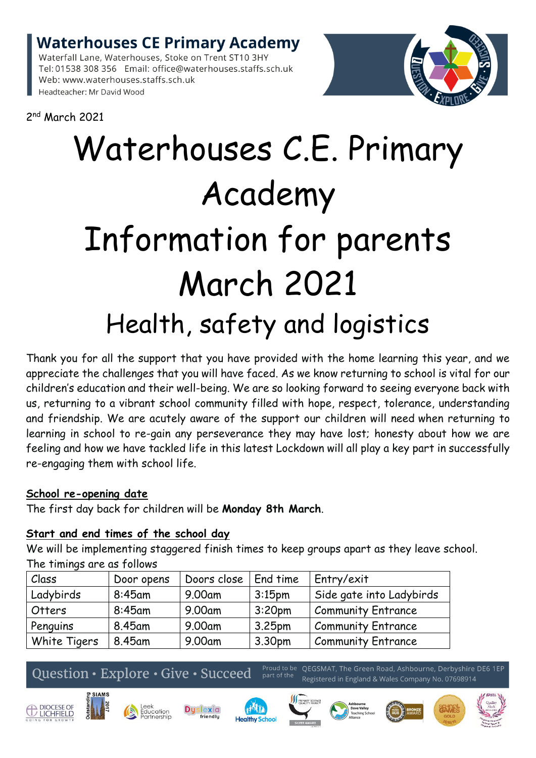**Waterhouses CE Primary Academy** 

Waterfall Lane, Waterhouses, Stoke on Trent ST10 3HY Tel: 01538 308 356 Email: office@waterhouses.staffs.sch.uk Web: www.waterhouses.staffs.sch.uk Headteacher: Mr David Wood



2 nd March 2021

# Waterhouses C.E. Primary Academy Information for parents March 2021 Health, safety and logistics

Thank you for all the support that you have provided with the home learning this year, and we appreciate the challenges that you will have faced. As we know returning to school is vital for our children's education and their well-being. We are so looking forward to seeing everyone back with us, returning to a vibrant school community filled with hope, respect, tolerance, understanding and friendship. We are acutely aware of the support our children will need when returning to learning in school to re-gain any perseverance they may have lost; honesty about how we are feeling and how we have tackled life in this latest Lockdown will all play a key part in successfully re-engaging them with school life.

## **School re-opening date**

The first day back for children will be **Monday 8th March**.

## **Start and end times of the school day**

We will be implementing staggered finish times to keep groups apart as they leave school. The timings are as follows

| Class        | Door opens | Doors close | End time           | Entry/exit                |
|--------------|------------|-------------|--------------------|---------------------------|
| Ladybirds    | $8:45$ am  | 9.00am      | 3:15 <sub>pm</sub> | Side gate into Ladybirds  |
| Otters       | 8:45am     | 9.00am      | 3:20 <sub>pm</sub> | <b>Community Entrance</b> |
| Penguins     | 8.45am     | 9.00am      | 3.25 <sub>pm</sub> | <b>Community Entrance</b> |
| White Tigers | 8.45am     | 9.00am      | 3.30pm             | <b>Community Entrance</b> |

## Question · Explore · Give · Succeed

Proud to be QEGSMAT, The Green Road, Ashbourne, Derbyshire DE6 1EP Registered in England & Wales Company No. 07698914













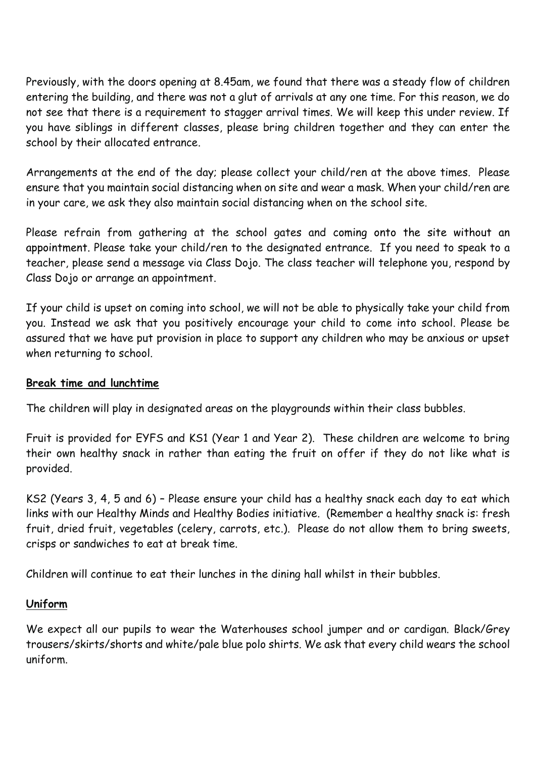Previously, with the doors opening at 8.45am, we found that there was a steady flow of children entering the building, and there was not a glut of arrivals at any one time. For this reason, we do not see that there is a requirement to stagger arrival times. We will keep this under review. If you have siblings in different classes, please bring children together and they can enter the school by their allocated entrance.

Arrangements at the end of the day; please collect your child/ren at the above times. Please ensure that you maintain social distancing when on site and wear a mask. When your child/ren are in your care, we ask they also maintain social distancing when on the school site.

Please refrain from gathering at the school gates and coming onto the site without an appointment. Please take your child/ren to the designated entrance. If you need to speak to a teacher, please send a message via Class Dojo. The class teacher will telephone you, respond by Class Dojo or arrange an appointment.

If your child is upset on coming into school, we will not be able to physically take your child from you. Instead we ask that you positively encourage your child to come into school. Please be assured that we have put provision in place to support any children who may be anxious or upset when returning to school.

## **Break time and lunchtime**

The children will play in designated areas on the playgrounds within their class bubbles.

Fruit is provided for EYFS and KS1 (Year 1 and Year 2). These children are welcome to bring their own healthy snack in rather than eating the fruit on offer if they do not like what is provided.

KS2 (Years 3, 4, 5 and 6) – Please ensure your child has a healthy snack each day to eat which links with our Healthy Minds and Healthy Bodies initiative. (Remember a healthy snack is: fresh fruit, dried fruit, vegetables (celery, carrots, etc.). Please do not allow them to bring sweets, crisps or sandwiches to eat at break time.

Children will continue to eat their lunches in the dining hall whilst in their bubbles.

## **Uniform**

We expect all our pupils to wear the Waterhouses school jumper and or cardigan. Black/Grey trousers/skirts/shorts and white/pale blue polo shirts. We ask that every child wears the school uniform.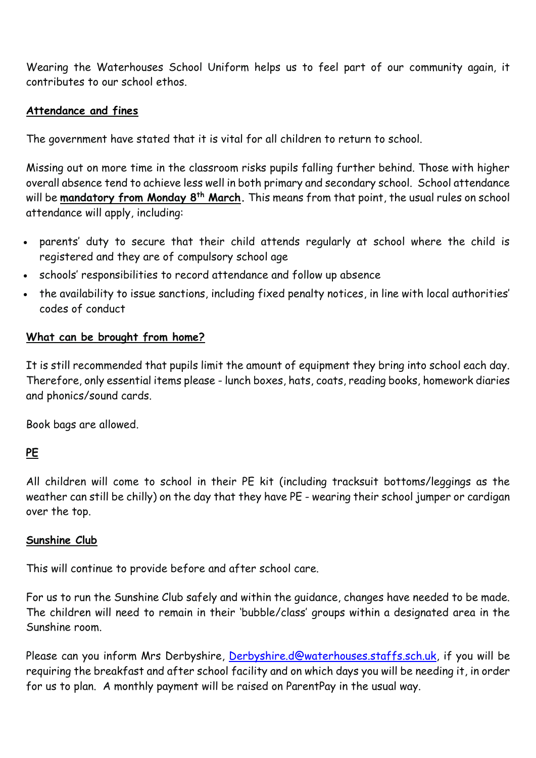Wearing the Waterhouses School Uniform helps us to feel part of our community again, it contributes to our school ethos.

## **Attendance and fines**

The government have stated that it is vital for all children to return to school.

Missing out on more time in the classroom risks pupils falling further behind. Those with higher overall absence tend to achieve less well in both primary and secondary school. School attendance will be **mandatory from Monday 8th March.** This means from that point, the usual rules on school attendance will apply, including:

- parents' duty to secure that their child attends regularly at school where the child is registered and they are of compulsory school age
- schools' responsibilities to record attendance and follow up absence
- the availability to issue sanctions, including fixed penalty notices, in line with local authorities' codes of conduct

#### **What can be brought from home?**

It is still recommended that pupils limit the amount of equipment they bring into school each day. Therefore, only essential items please - lunch boxes, hats, coats, reading books, homework diaries and phonics/sound cards.

Book bags are allowed.

## **PE**

All children will come to school in their PE kit (including tracksuit bottoms/leggings as the weather can still be chilly) on the day that they have PE - wearing their school jumper or cardigan over the top.

#### **Sunshine Club**

This will continue to provide before and after school care.

For us to run the Sunshine Club safely and within the guidance, changes have needed to be made. The children will need to remain in their 'bubble/class' groups within a designated area in the Sunshine room.

Please can you inform Mrs Derbyshire, [Derbyshire.d@waterhouses.staffs.sch.uk,](mailto:Derbyshire.d@waterhouses.staffs.sch.uk) if you will be requiring the breakfast and after school facility and on which days you will be needing it, in order for us to plan. A monthly payment will be raised on ParentPay in the usual way.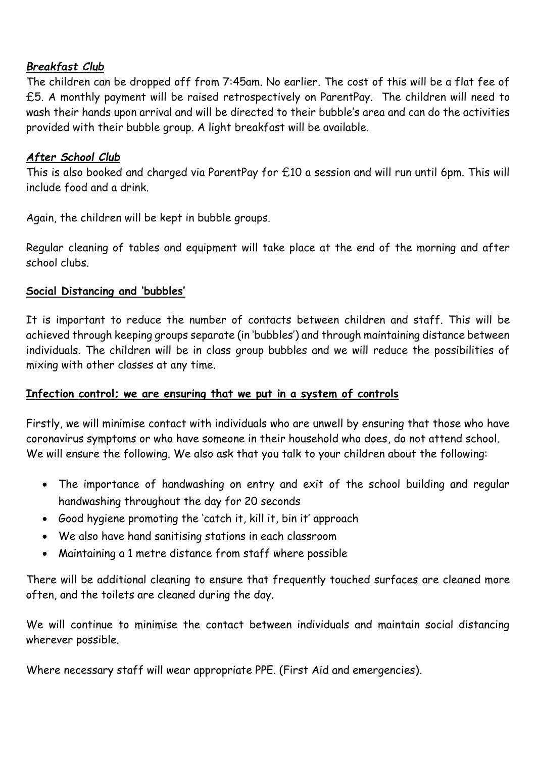## *Breakfast Club*

The children can be dropped off from 7:45am. No earlier. The cost of this will be a flat fee of £5. A monthly payment will be raised retrospectively on ParentPay. The children will need to wash their hands upon arrival and will be directed to their bubble's area and can do the activities provided with their bubble group. A light breakfast will be available.

## *After School Club*

This is also booked and charged via ParentPay for £10 a session and will run until 6pm. This will include food and a drink.

Again, the children will be kept in bubble groups.

Regular cleaning of tables and equipment will take place at the end of the morning and after school clubs.

## **Social Distancing and 'bubbles'**

It is important to reduce the number of contacts between children and staff. This will be achieved through keeping groups separate (in 'bubbles') and through maintaining distance between individuals. The children will be in class group bubbles and we will reduce the possibilities of mixing with other classes at any time.

## **Infection control; we are ensuring that we put in a system of controls**

Firstly, we will minimise contact with individuals who are unwell by ensuring that those who have coronavirus symptoms or who have someone in their household who does, do not attend school. We will ensure the following. We also ask that you talk to your children about the following:

- The importance of handwashing on entry and exit of the school building and regular handwashing throughout the day for 20 seconds
- Good hygiene promoting the 'catch it, kill it, bin it' approach
- We also have hand sanitising stations in each classroom
- Maintaining a 1 metre distance from staff where possible

There will be additional cleaning to ensure that frequently touched surfaces are cleaned more often, and the toilets are cleaned during the day.

We will continue to minimise the contact between individuals and maintain social distancing wherever possible.

Where necessary staff will wear appropriate PPE. (First Aid and emergencies).